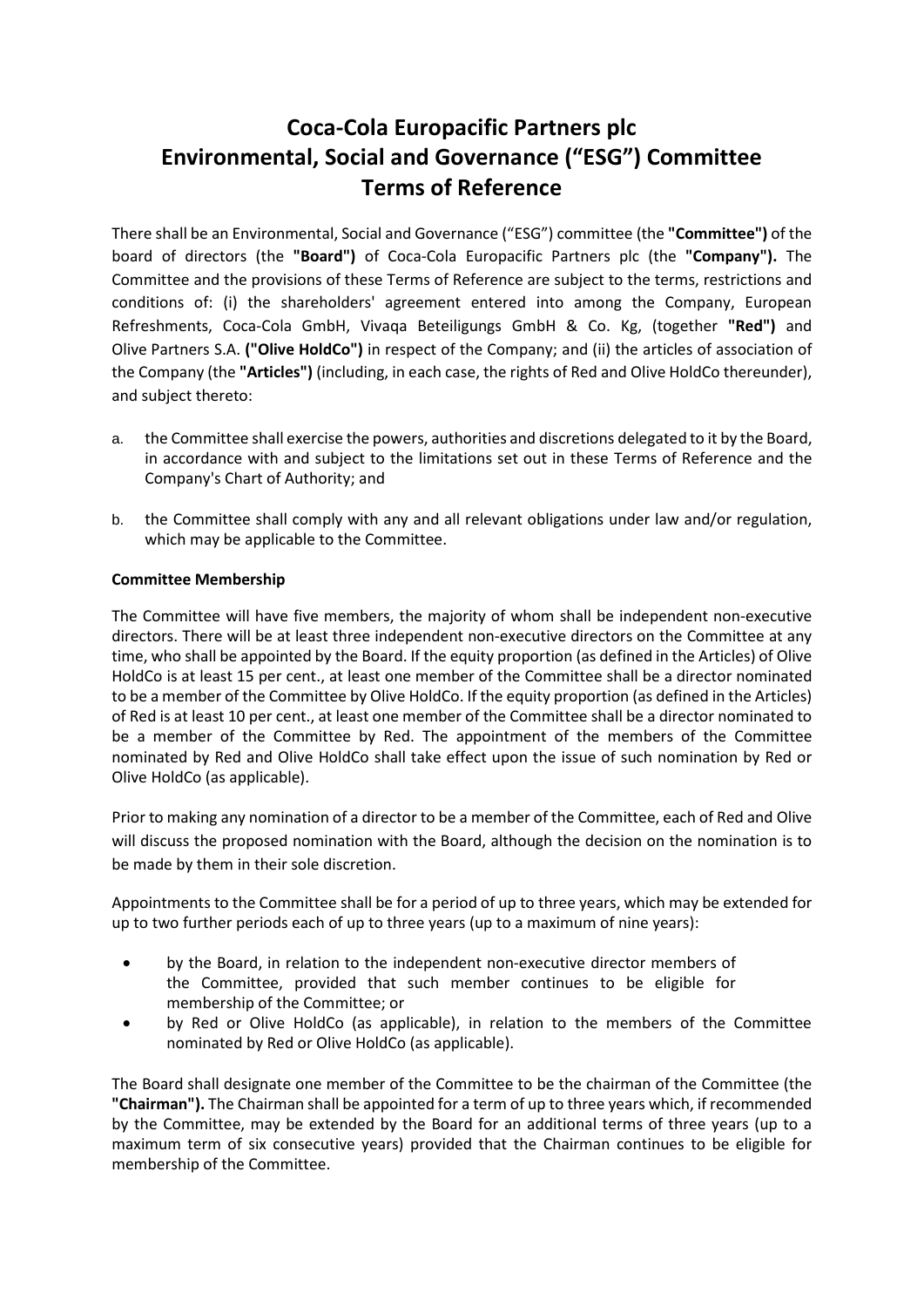# **Coca-Cola Europacific Partners plc Environmental, Social and Governance ("ESG") Committee Terms of Reference**

There shall be an Environmental, Social and Governance ("ESG") committee (the **"Committee")** of the board of directors (the **"Board")** of Coca-Cola Europacific Partners plc (the **"Company").** The Committee and the provisions of these Terms of Reference are subject to the terms, restrictions and conditions of: (i) the shareholders' agreement entered into among the Company, European Refreshments, Coca-Cola GmbH, Vivaqa Beteiligungs GmbH & Co. Kg, (together **"Red")** and Olive Partners S.A. **("Olive HoldCo")** in respect of the Company; and (ii) the articles of association of the Company (the **"Articles")** (including, in each case, the rights of Red and Olive HoldCo thereunder), and subject thereto:

- a. the Committee shall exercise the powers, authorities and discretions delegated to it by the Board, in accordance with and subject to the limitations set out in these Terms of Reference and the Company's Chart of Authority; and
- b. the Committee shall comply with any and all relevant obligations under law and/or regulation, which may be applicable to the Committee.

### **Committee Membership**

The Committee will have five members, the majority of whom shall be independent non-executive directors. There will be at least three independent non-executive directors on the Committee at any time, who shall be appointed by the Board. If the equity proportion (as defined in the Articles) of Olive HoldCo is at least 15 per cent., at least one member of the Committee shall be a director nominated to be a member of the Committee by Olive HoldCo. If the equity proportion (as defined in the Articles) of Red is at least 10 per cent., at least one member of the Committee shall be a director nominated to be a member of the Committee by Red. The appointment of the members of the Committee nominated by Red and Olive HoldCo shall take effect upon the issue of such nomination by Red or Olive HoldCo (as applicable).

Prior to making any nomination of a director to be a member of the Committee, each of Red and Olive will discuss the proposed nomination with the Board, although the decision on the nomination is to be made by them in their sole discretion.

Appointments to the Committee shall be for a period of up to three years, which may be extended for up to two further periods each of up to three years (up to a maximum of nine years):

- by the Board, in relation to the independent non-executive director members of the Committee, provided that such member continues to be eligible for membership of the Committee; or
- by Red or Olive HoldCo (as applicable), in relation to the members of the Committee nominated by Red or Olive HoldCo (as applicable).

The Board shall designate one member of the Committee to be the chairman of the Committee (the **"Chairman").** The Chairman shall be appointed for a term of up to three years which, if recommended by the Committee, may be extended by the Board for an additional terms of three years (up to a maximum term of six consecutive years) provided that the Chairman continues to be eligible for membership of the Committee.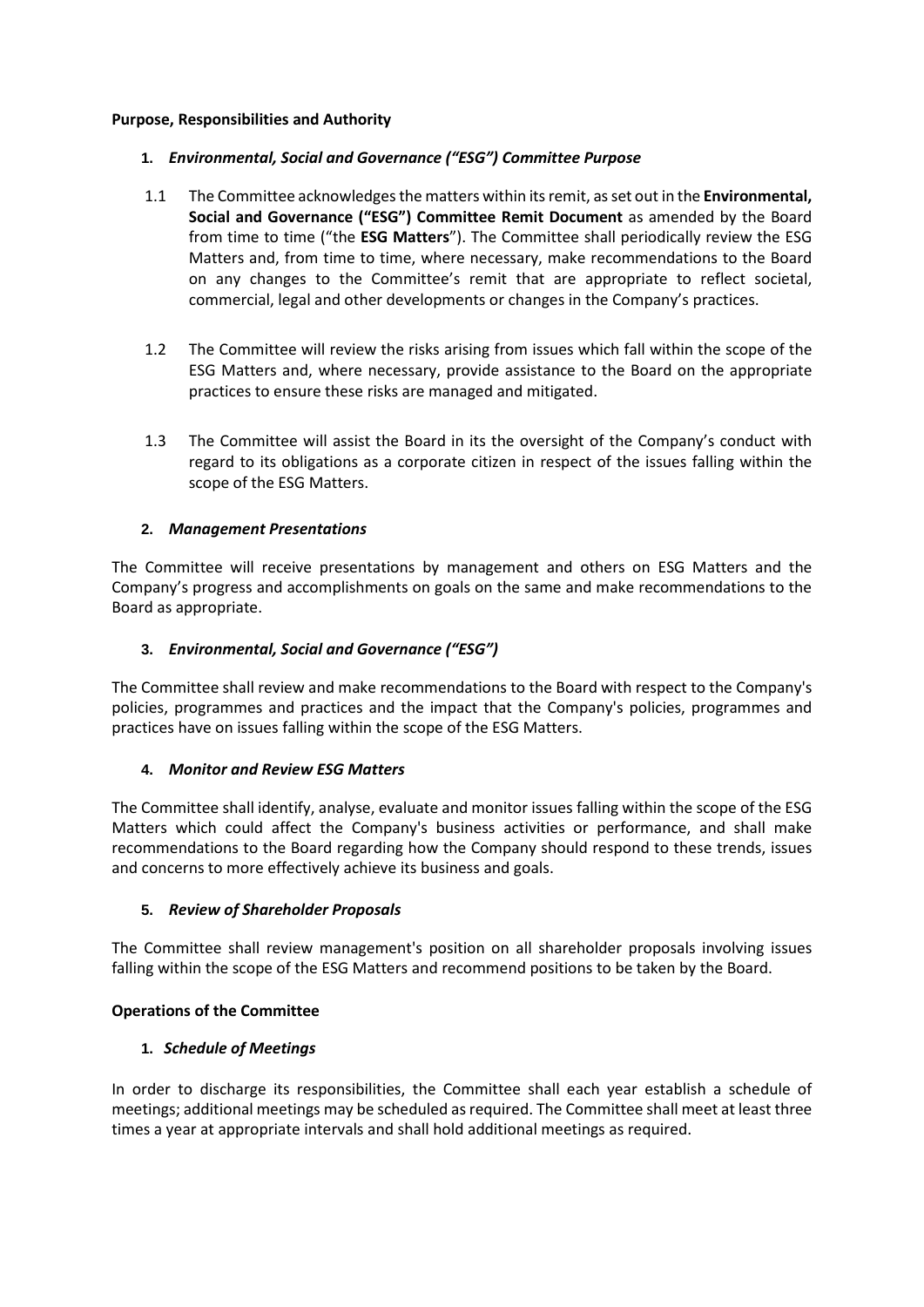### **Purpose, Responsibilities and Authority**

## **1.** *Environmental, Social and Governance ("ESG") Committee Purpose*

- 1.1 The Committee acknowledges the matters within its remit, as set out in the **Environmental, Social and Governance ("ESG") Committee Remit Document** as amended by the Board from time to time ("the **ESG Matters**"). The Committee shall periodically review the ESG Matters and, from time to time, where necessary, make recommendations to the Board on any changes to the Committee's remit that are appropriate to reflect societal, commercial, legal and other developments or changes in the Company's practices.
- 1.2 The Committee will review the risks arising from issues which fall within the scope of the ESG Matters and, where necessary, provide assistance to the Board on the appropriate practices to ensure these risks are managed and mitigated.
- 1.3 The Committee will assist the Board in its the oversight of the Company's conduct with regard to its obligations as a corporate citizen in respect of the issues falling within the scope of the ESG Matters.

## **2.** *Management Presentations*

The Committee will receive presentations by management and others on ESG Matters and the Company's progress and accomplishments on goals on the same and make recommendations to the Board as appropriate.

## **3.** *Environmental, Social and Governance ("ESG")*

The Committee shall review and make recommendations to the Board with respect to the Company's policies, programmes and practices and the impact that the Company's policies, programmes and practices have on issues falling within the scope of the ESG Matters.

### **4.** *Monitor and Review ESG Matters*

The Committee shall identify, analyse, evaluate and monitor issues falling within the scope of the ESG Matters which could affect the Company's business activities or performance, and shall make recommendations to the Board regarding how the Company should respond to these trends, issues and concerns to more effectively achieve its business and goals.

### **5.** *Review of Shareholder Proposals*

The Committee shall review management's position on all shareholder proposals involving issues falling within the scope of the ESG Matters and recommend positions to be taken by the Board.

### **Operations of the Committee**

## **1.** *Schedule of Meetings*

In order to discharge its responsibilities, the Committee shall each year establish a schedule of meetings; additional meetings may be scheduled as required. The Committee shall meet at least three times a year at appropriate intervals and shall hold additional meetings as required.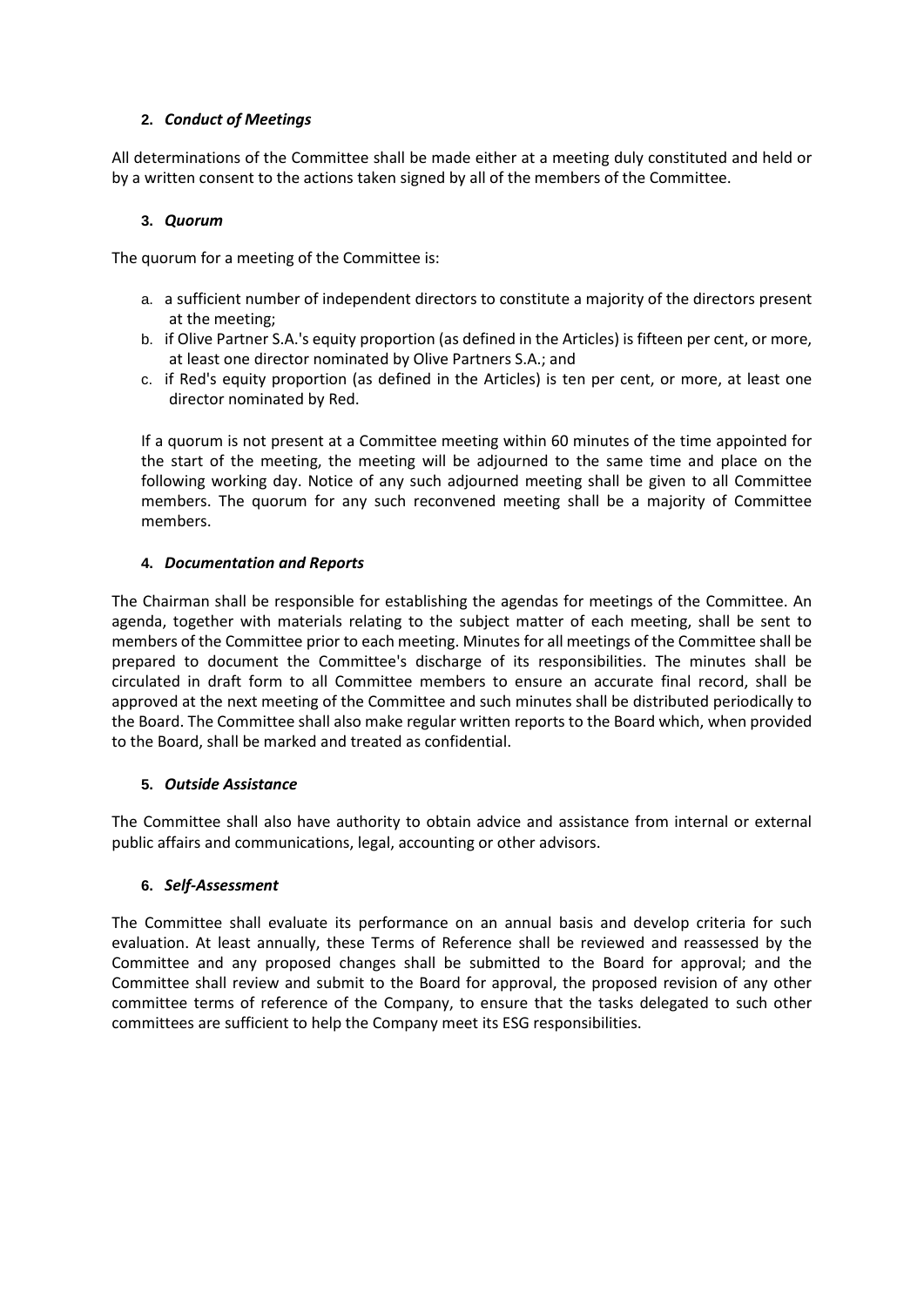## **2.** *Conduct of Meetings*

All determinations of the Committee shall be made either at a meeting duly constituted and held or by a written consent to the actions taken signed by all of the members of the Committee.

## **3.** *Quorum*

The quorum for a meeting of the Committee is:

- a. a sufficient number of independent directors to constitute a majority of the directors present at the meeting;
- b. if Olive Partner S.A.'s equity proportion (as defined in the Articles) is fifteen per cent, or more, at least one director nominated by Olive Partners S.A.; and
- c. if Red's equity proportion (as defined in the Articles) is ten per cent, or more, at least one director nominated by Red.

If a quorum is not present at a Committee meeting within 60 minutes of the time appointed for the start of the meeting, the meeting will be adjourned to the same time and place on the following working day. Notice of any such adjourned meeting shall be given to all Committee members. The quorum for any such reconvened meeting shall be a majority of Committee members.

## **4.** *Documentation and Reports*

The Chairman shall be responsible for establishing the agendas for meetings of the Committee. An agenda, together with materials relating to the subject matter of each meeting, shall be sent to members of the Committee prior to each meeting. Minutes for all meetings of the Committee shall be prepared to document the Committee's discharge of its responsibilities. The minutes shall be circulated in draft form to all Committee members to ensure an accurate final record, shall be approved at the next meeting of the Committee and such minutes shall be distributed periodically to the Board. The Committee shall also make regular written reports to the Board which, when provided to the Board, shall be marked and treated as confidential.

## **5.** *Outside Assistance*

The Committee shall also have authority to obtain advice and assistance from internal or external public affairs and communications, legal, accounting or other advisors.

### **6.** *Self-Assessment*

The Committee shall evaluate its performance on an annual basis and develop criteria for such evaluation. At least annually, these Terms of Reference shall be reviewed and reassessed by the Committee and any proposed changes shall be submitted to the Board for approval; and the Committee shall review and submit to the Board for approval, the proposed revision of any other committee terms of reference of the Company, to ensure that the tasks delegated to such other committees are sufficient to help the Company meet its ESG responsibilities.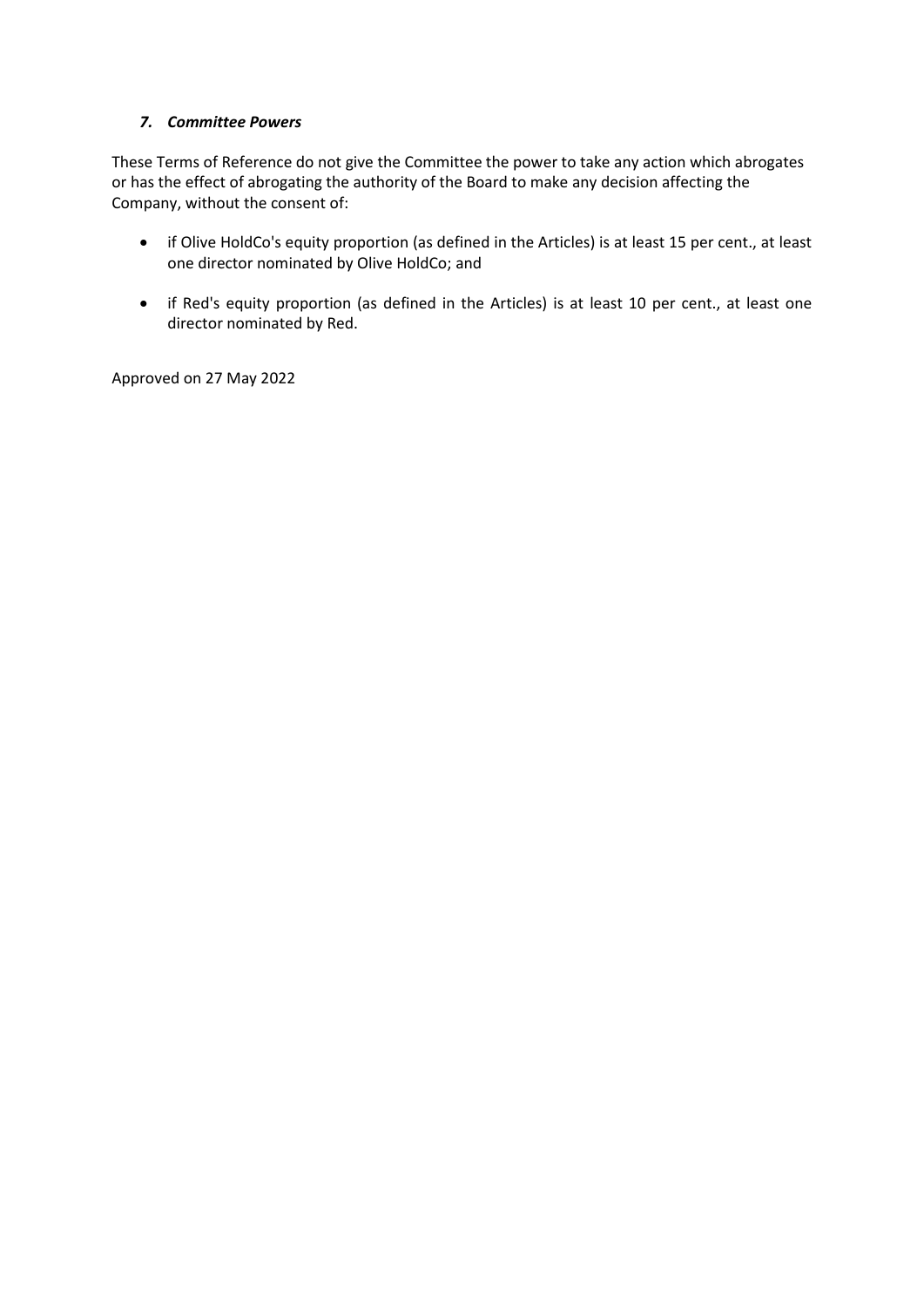## *7. Committee Powers*

These Terms of Reference do not give the Committee the power to take any action which abrogates or has the effect of abrogating the authority of the Board to make any decision affecting the Company, without the consent of:

- if Olive HoldCo's equity proportion (as defined in the Articles) is at least 15 per cent., at least one director nominated by Olive HoldCo; and
- if Red's equity proportion (as defined in the Articles) is at least 10 per cent., at least one director nominated by Red.

Approved on 27 May 2022